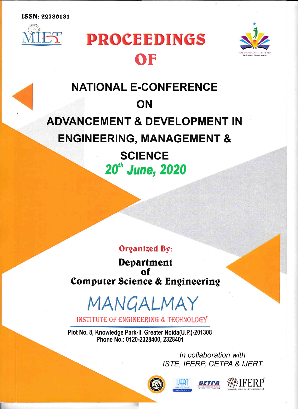**ISSN: 22780181** 



# **PROCEEDINGS** OF



# **NATIONAL E-CONFERENCE ON** ADVANCEMENT & DEVELOPMENT IN ENGINEERING, MANAGEMENT & **SCIENCE**

20th June, 2020

## **Organized By:**

Department of Computer Science & Engineering

MANGALMAY

INSTITUTE OF ENGINEERING & TECHNOLOGY

PIot No. 8, Knowledge Park-ll, Greater Noida(U.P.)-201308 Phone No.: 0120-2328400, 2328401

> ln collaboration with ISTE, IFERP, CETPA & IJERT





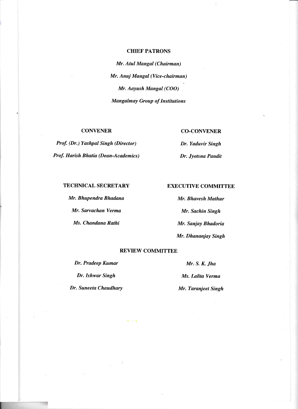#### **CHIEF PATRONS**

Mr. Atul Mangal (Chairman) Mr. Anuj Mangal (Vice-chairman) Mr. Aayush Mangal (COO) Mangalmay Group of Institutions

### **CONVENER**

Prof. (Dr.) Yashpal Singh (Director) Prof. Harish Bhatia (Dean-Academics)

#### CO.CONVENER

Dr. Yaduvir Singh Dr. Jyotsna Pandit

#### **TECHNICAL SECRETARY**

Mr. Bhupendra Bhadana Mr. Sarvachan Verma Ms. Chandana Rathi

#### EXECUTIVE COMMITTEE

Mr. Bhavesh Mathur Mr. Sachin Singh Mr. Sanjay Bhadoria Mr. Dhananjay Singh

#### REVIEW COMMITTEE

Dr. Pradeep Kumar Mr. S. K. Jha

Dr. Ishwar Singh Ms. Lalita Verma Dr. Suneeta Chaudhary Mr. Taranjeet Singh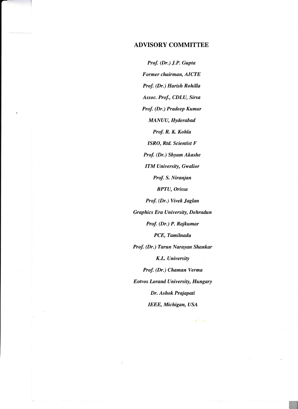### ADVISORY COMMITTEE

Prof. (Dr.) J.P. Gupta Former chairman, AICTE Prof. (Dr.) Harish Rohilla Assoc. Prof., CDLU, Sirsa Prof. (Dr.) Pradeep Kumar MANUU, Hyderabad Prof. R. K. Kohla ISRO, Rtd. Scientist F Prof. (Dr.) Shyam Akashe ITM University, Gwalior Prof. S. Niranjan BPTU, Orissa Prof. (Dr.) Vivek Jaglan Graphics Era University, Dehradun Prof. (Dr.) P. Rajkumar PCE, Tamilnadu Prof. (Dr.) Tarun Narayan Shankar K.L. University Prof. (Dr.) Chaman Verma Eotvos Lorand University, Hungary Dr. Ashok Prajapati IEEE, Michigan, USA

l,-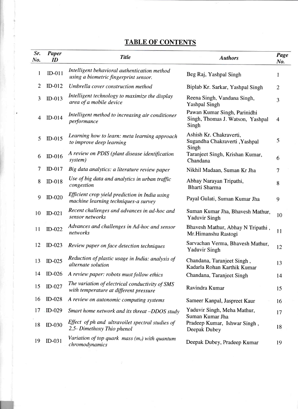## TABLE OF CONTENTS

| Sr.<br>No. | <b>Paper</b><br>ID | <b>Title</b>                                                                              | <b>Authors</b>                                                            | Page<br>No.    |
|------------|--------------------|-------------------------------------------------------------------------------------------|---------------------------------------------------------------------------|----------------|
| 1          | $ID-011$           | Intelligent behavioral authentication method<br>using a biometric fingerprint sensor.     | Beg Raj, Yashpal Singh                                                    | 1              |
| 2          | $ID-012$           | Umbrella cover construction method                                                        | Biplab Kr. Sarkar, Yashpal Singh                                          | $\overline{2}$ |
| 3          | $ID-013$           | Intelligent technology to maximize the display<br>area of a mobile device                 | Reena Singh, Vandana Singh,<br><b>Yashpal Singh</b>                       | 3              |
| 4          | $ID-014$           | Intelligent method to increasing air conditioner<br>performance                           | Pawan Kumar Singh, Parinidhi<br>Singh, Thomas J. Watson, Yashpal<br>Singh | $\overline{4}$ |
| 5          | $ID-015$           | Learning how to learn: meta learning approach<br>to improve deep learning                 | Ashish Kr. Chakraverti,<br>Sugandha Chakraverti, Yashpal<br>Singh         | 5              |
| 6          | $ID-016$           | A review on PDIS (plant disease identification<br>system)                                 | Taranjeet Singh, Krishan Kumar,<br>Chandana                               | 6              |
| 7          | $ID-017$           | Big data analytics: a literature review paper                                             | Nikhil Madaan, Suman Kr Jha                                               | 7              |
| 8          | $ID-018$           | Use of big data and analytics in urban traffic<br>congestion                              | Abhay Narayan Tripathi,<br>Bharti Sharma                                  | 8              |
| 9          | $ID-020$           | Efficient crop yield prediction in India using<br>machine learning techniques-a survey    | Payal Gulati, Suman Kumar Jha                                             | 9              |
| 10         | $ID-021$           | Recent challenges and advances in ad-hoc and<br>sensor networks                           | Suman Kumar Jha, Bhavesh Mathur,<br><b>Yaduvir Singh</b>                  | 10             |
| 11         | $ID-022$           | Advances and challenges in Ad-hoc and sensor<br>networks                                  | Bhavesh Mathur, Abhay N Tripathi,<br>Mr.Himanshu Rastogi                  | 11             |
| 12         | $ID-023$           | Review paper on face detection techniques                                                 | Sarvachan Verma, Bhavesh Mathur,<br><b>Yaduvir Singh</b>                  | 12             |
| 13         | $ID-025$           | Reduction of plastic usage in India: analysis of<br>alternate solution                    | Chandana, Taranjeet Singh,<br>Kadarla Rohan Karthik Kumar                 | 13             |
| 14         | $ID-026$           | A review paper: robots must follow ethics                                                 | Chandana, Taranjeet Singh                                                 | 14             |
| 15         | ID-027             | The variation of electrical conductivity of SMS<br>with temperature at different pressure | Ravindra Kumar                                                            | 15             |
| 16         | $ID-028$           | A review on autonomic computing systems                                                   | Sameer Kanpal, Jaspreet Kaur                                              | 16             |
| 17         | $ID-029$           | Smart home network and its threat -DDOS study                                             | Yaduvir Singh, Meha Mathur,                                               | 17             |
| 18         | $ID-030$           | Effect of ph and ultravoilet spectral studies of<br>2,5- Dimethoxy Thio phenol            | Suman Kumar Jha<br>Pradeep Kumar, Ishwar Singh,<br>Deepak Dubey           | 18             |
| 19         | $ID-031$           | Variation of top quark mass $(m_t)$ with quantum<br>chromodynamics                        | Deepak Dubey, Pradeep Kumar                                               | 19             |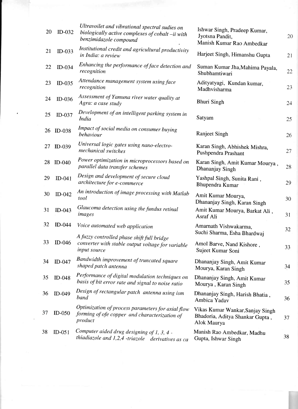| 20 | $ID-032$ | Ultravoilet and vibrational spectral sudies on<br>biologically active complexes of cobalt-ii with<br>benzimidazole compound | Ishwar Singh, Pradeep Kumar,<br>Jyotsna Pandit,<br>Manish Kumar Rao Ambedkar       | 20 |
|----|----------|-----------------------------------------------------------------------------------------------------------------------------|------------------------------------------------------------------------------------|----|
| 21 | $ID-033$ | Institutional credit and agricultural productivity<br>in India: a review                                                    | Harjeet Singh, Himanshu Gupta                                                      | 21 |
| 22 | $ID-034$ | Enhancing the performance of face detection and<br>recognition                                                              | Suman Kumar Jha, Mahima Payala,<br>Shubhamtiwari                                   | 22 |
| 23 | $ID-035$ | Attendance management system using face<br>recognition                                                                      | Adityatyagi, Kundan kumar,<br>Madhvisharma                                         | 23 |
| 24 | $ID-036$ | Assessment of Yamuna river water quality at<br>Agra: a case study                                                           | <b>Bhuri Singh</b>                                                                 | 24 |
| 25 | $ID-037$ | Development of an intelligent parking system in<br>India                                                                    | Satyam                                                                             | 25 |
| 26 | $ID-038$ | Impact of social media on consumer buying<br>behaviour                                                                      | Ranjeet Singh                                                                      | 26 |
| 27 | $ID-039$ | Universal logic gates using nano-electro-<br>mechanical switches                                                            | Karan Singh, Abhishek Mishra,<br>Pushpendra Prashant                               | 27 |
| 28 | $ID-040$ | Power optimization in microprocessors based on<br>parallel data transfer schemes                                            | Karan Singh, Amit Kumar Mourya,<br>Dhananjay Singh                                 | 28 |
| 29 | $ID-041$ | Design and development of secure cloud<br>architecture for e-commerce                                                       | Yashpal Singh, Sunita Rani,<br>Bhupendra Kumar                                     | 29 |
| 30 | $ID-042$ | An introduction of image processing with Matlab<br>tool                                                                     | Amit Kumar Mourya,<br>Dhananjay Singh, Karan Singh                                 | 30 |
| 31 | $ID-043$ | Glaucoma detection using the fundus retinal<br>images                                                                       | Amit Kumar Mourya, Barkat Ali,<br>Asraf Ali                                        | 31 |
| 32 | $ID-044$ | Voice automated web application                                                                                             | Amarnath Vishwakarma,<br>Suchi Sharma, Esha Bhardwaj                               | 32 |
| 33 | $ID-046$ | A fuzzy controlled phase shift full bridge<br>converter with stable output voltage for variable<br>input source             | Amol Barve, Nand Kishore,<br>Sujeet Kumar Soni                                     | 33 |
| 34 | $ID-047$ | Bandwidth improvement of truncated square<br>shaped patch antenna                                                           | Dhananjay Singh, Amit Kumar<br>Mourya, Karan Singh                                 | 34 |
| 35 | $ID-048$ | Performance of digital modulation techniques on<br>basis of bit error rate and signal to noise ratio                        | Dhananjay Singh, Amit Kumar<br>Mourya, Karan Singh                                 | 35 |
| 36 | $ID-049$ | Design of rectangular patch antenna using ism<br>band                                                                       | Dhananjay Singh, Harish Bhatia,<br>Ambica Yadav                                    | 36 |
| 37 | $ID-050$ | Optimization of process parameters for axial flow<br>forming of ofe copper and characterization of<br>product               | Vikas Kumar Wankar, Sanjay Singh<br>Bhadoria, Aditya Shankar Gupta,<br>Alok Maurya | 37 |
| 38 | $ID-051$ | Computer aided drug designing of 1, 3, 4 -<br>thiadiazole and 1,2,4 -triazole derivatives as ca                             | Manish Rao Ambedkar, Madhu<br>Gupta, Ishwar Singh                                  | 38 |
|    |          |                                                                                                                             |                                                                                    |    |
|    |          |                                                                                                                             |                                                                                    |    |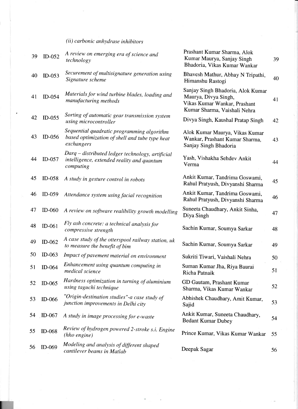## $(ii)$  carbonic anhydrase inhibitors

| 39 | $ID-052$      | A review on emerging era of science and<br>technology                                                       | Prashant Kumar Sharma, Alok<br>Kumar Maurya, Sanjay Singh<br>Bhadoria, Vikas Kumar Wankar                                 | 39 |
|----|---------------|-------------------------------------------------------------------------------------------------------------|---------------------------------------------------------------------------------------------------------------------------|----|
| 40 | $ID-053$      | Securement of multisignature generation using<br>Signature scheme                                           | Bhavesh Mathur, Abhay N Tripathi,<br>Himanshu Rastogi                                                                     | 40 |
| 41 | ID-054        | Materials for wind turbine blades, loading and<br>manufacturing methods                                     | Sanjay Singh Bhadoria, Alok Kumar<br>Maurya, Divya Singh,<br>Vikas Kumar Wankar, Prashant<br>Kumar Sharma, Vaishali Nehra | 41 |
| 42 | $ID-055$      | Sorting of automatic gear transmission system<br>using microcontroller                                      | Divya Singh, Kaushal Pratap Singh                                                                                         | 42 |
| 43 | $ID-056$      | Sequential quadratic programming algorithm<br>based optimization of shell and tube type heat<br>exchangers  | Alok Kumar Maurya, Vikas Kumar<br>Wankar, Prashant Kumar Sharma,<br>Sanjay Singh Bhadoria                                 | 43 |
| 44 | $ID-057$      | Darq - distributed ledger technology, artificial<br>intelligence, extended reality and quantum<br>computing | Yash, Vishakha Sehdev Ankit<br>Verma                                                                                      | 44 |
| 45 | $ID-058$      | A study in gesture control in robots                                                                        | Ankit Kumar, Tandrima Goswami,<br>Rahul Pratyush, Divyanshi Sharma                                                        | 45 |
| 46 | $ID-059$      | Attendance system using facial recognition                                                                  | Ankit Kumar, Tandrima Goswami,<br>Rahul Pratyush, Divyanshi Sharma                                                        | 46 |
| 47 | $ID-060$      | A review on software realibility growth modelling                                                           | Suneeta Chaudhary, Ankit Sinha,<br>Diya Singh                                                                             | 47 |
| 48 | $ID-061$      | Fly ash concrete: a technical analysis for<br>compressive strength                                          | Sachin Kumar, Soumya Sarkar                                                                                               | 48 |
| 49 | ID-062        | A case study of the otterspool railway station, uk<br>to measure the benefit of bim                         | Sachin Kumar, Soumya Sarkar                                                                                               | 49 |
| 50 | $ID-063$      | Impact of pavement material on environment                                                                  | Sukriti Tiwari, Vaishali Nehra                                                                                            | 50 |
| 51 | ID-064        | Enhancement using quantum computing in<br>medical science                                                   | Suman Kumar Jha, Riya Baurai<br>Richa Patnaik                                                                             | 51 |
| 52 | $ID-065$      | Hardness optimization in turning of aluminium<br>using taguchi technique                                    | GD Gautam, Prashant Kumar<br>Sharma, Vikas Kumar Wankar                                                                   | 52 |
| 53 | <b>ID-066</b> | "Origin-destination studies"-a case study of<br>junction improvements in Delhi city                         | Abhishek Chaudhary, Amit Kumar,<br>Sajid                                                                                  | 53 |
| 54 | $ID-067$      | A study in image processing for e-waste                                                                     | Ankit Kumar, Suneeta Chaudhary,<br><b>Bedant Kumar Dubey</b>                                                              | 54 |
| 55 | <b>ID-068</b> | Review of hydrogen powered 2-stroke s.i. Engine<br>(hho engine)                                             | Prince Kumar, Vikas Kumar Wankar                                                                                          | 55 |
| 56 | $ID-069$      | Modeling and analysis of different shaped<br>cantilever beams in Matlab                                     | Deepak Sagar                                                                                                              | 56 |
|    |               |                                                                                                             |                                                                                                                           |    |